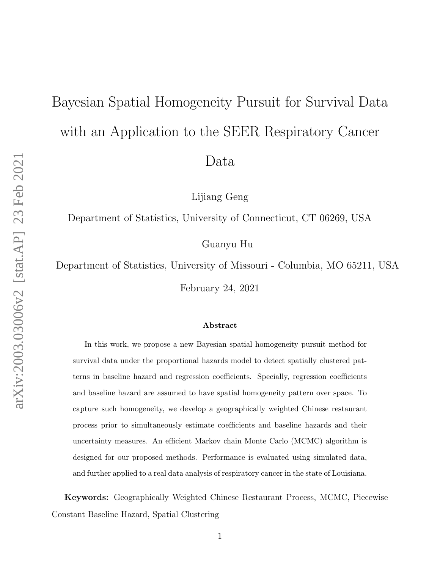# <span id="page-0-0"></span>Bayesian Spatial Homogeneity Pursuit for Survival Data with an Application to the SEER Respiratory Cancer Data

Lijiang Geng

Department of Statistics, University of Connecticut, CT 06269, USA

Guanyu Hu

Department of Statistics, University of Missouri - Columbia, MO 65211, USA

February 24, 2021

#### Abstract

In this work, we propose a new Bayesian spatial homogeneity pursuit method for survival data under the proportional hazards model to detect spatially clustered patterns in baseline hazard and regression coefficients. Specially, regression coefficients and baseline hazard are assumed to have spatial homogeneity pattern over space. To capture such homogeneity, we develop a geographically weighted Chinese restaurant process prior to simultaneously estimate coefficients and baseline hazards and their uncertainty measures. An efficient Markov chain Monte Carlo (MCMC) algorithm is designed for our proposed methods. Performance is evaluated using simulated data, and further applied to a real data analysis of respiratory cancer in the state of Louisiana.

Keywords: Geographically Weighted Chinese Restaurant Process, MCMC, Piecewise Constant Baseline Hazard, Spatial Clustering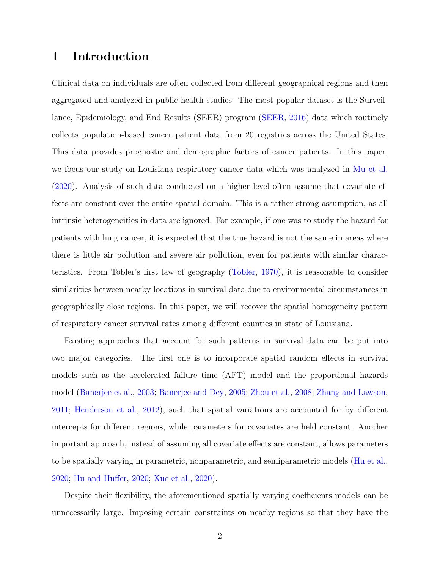## 1 Introduction

Clinical data on individuals are often collected from different geographical regions and then aggregated and analyzed in public health studies. The most popular dataset is the Surveillance, Epidemiology, and End Results (SEER) program [\(SEER,](#page-25-0) [2016\)](#page-25-0) data which routinely collects population-based cancer patient data from 20 registries across the United States. This data provides prognostic and demographic factors of cancer patients. In this paper, we focus our study on Louisiana respiratory cancer data which was analyzed in [Mu et al.](#page-24-0) [\(2020\)](#page-24-0). Analysis of such data conducted on a higher level often assume that covariate effects are constant over the entire spatial domain. This is a rather strong assumption, as all intrinsic heterogeneities in data are ignored. For example, if one was to study the hazard for patients with lung cancer, it is expected that the true hazard is not the same in areas where there is little air pollution and severe air pollution, even for patients with similar characteristics. From Tobler's first law of geography [\(Tobler,](#page-25-1) [1970\)](#page-25-1), it is reasonable to consider similarities between nearby locations in survival data due to environmental circumstances in geographically close regions. In this paper, we will recover the spatial homogeneity pattern of respiratory cancer survival rates among different counties in state of Louisiana.

Existing approaches that account for such patterns in survival data can be put into two major categories. The first one is to incorporate spatial random effects in survival models such as the accelerated failure time (AFT) model and the proportional hazards model [\(Banerjee et al.,](#page-22-0) [2003;](#page-22-0) [Banerjee and Dey,](#page-22-1) [2005;](#page-22-1) [Zhou et al.,](#page-25-2) [2008;](#page-25-2) [Zhang and Lawson,](#page-25-3) [2011;](#page-25-3) [Henderson et al.,](#page-23-0) [2012\)](#page-23-0), such that spatial variations are accounted for by different intercepts for different regions, while parameters for covariates are held constant. Another important approach, instead of assuming all covariate effects are constant, allows parameters to be spatially varying in parametric, nonparametric, and semiparametric models [\(Hu et al.,](#page-24-1) [2020;](#page-24-1) [Hu and Huffer,](#page-23-1) [2020;](#page-23-1) [Xue et al.,](#page-25-4) [2020\)](#page-25-4).

Despite their flexibility, the aforementioned spatially varying coefficients models can be unnecessarily large. Imposing certain constraints on nearby regions so that they have the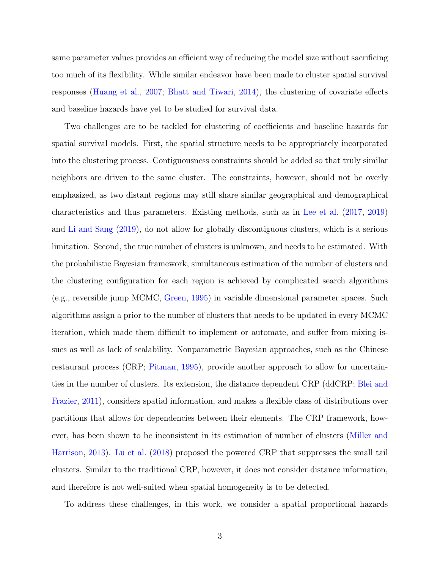same parameter values provides an efficient way of reducing the model size without sacrificing too much of its flexibility. While similar endeavor have been made to cluster spatial survival responses [\(Huang et al.,](#page-24-2) [2007;](#page-24-2) [Bhatt and Tiwari,](#page-22-2) [2014\)](#page-22-2), the clustering of covariate effects and baseline hazards have yet to be studied for survival data.

Two challenges are to be tackled for clustering of coefficients and baseline hazards for spatial survival models. First, the spatial structure needs to be appropriately incorporated into the clustering process. Contiguousness constraints should be added so that truly similar neighbors are driven to the same cluster. The constraints, however, should not be overly emphasized, as two distant regions may still share similar geographical and demographical characteristics and thus parameters. Existing methods, such as in [Lee et al.](#page-24-3) [\(2017,](#page-24-3) [2019\)](#page-24-4) and [Li and Sang](#page-24-5) [\(2019\)](#page-24-5), do not allow for globally discontiguous clusters, which is a serious limitation. Second, the true number of clusters is unknown, and needs to be estimated. With the probabilistic Bayesian framework, simultaneous estimation of the number of clusters and the clustering configuration for each region is achieved by complicated search algorithms (e.g., reversible jump MCMC, [Green,](#page-23-2) [1995\)](#page-23-2) in variable dimensional parameter spaces. Such algorithms assign a prior to the number of clusters that needs to be updated in every MCMC iteration, which made them difficult to implement or automate, and suffer from mixing issues as well as lack of scalability. Nonparametric Bayesian approaches, such as the Chinese restaurant process (CRP; [Pitman,](#page-25-5) [1995\)](#page-25-5), provide another approach to allow for uncertainties in the number of clusters. Its extension, the distance dependent CRP (ddCRP; [Blei and](#page-22-3) [Frazier,](#page-22-3) [2011\)](#page-22-3), considers spatial information, and makes a flexible class of distributions over partitions that allows for dependencies between their elements. The CRP framework, however, has been shown to be inconsistent in its estimation of number of clusters [\(Miller and](#page-24-6) [Harrison,](#page-24-6) [2013\)](#page-24-6). [Lu et al.](#page-24-7) [\(2018\)](#page-24-7) proposed the powered CRP that suppresses the small tail clusters. Similar to the traditional CRP, however, it does not consider distance information, and therefore is not well-suited when spatial homogeneity is to be detected.

To address these challenges, in this work, we consider a spatial proportional hazards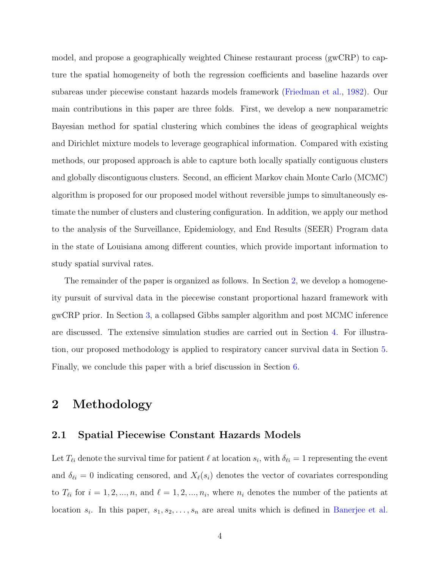model, and propose a geographically weighted Chinese restaurant process (gwCRP) to capture the spatial homogeneity of both the regression coefficients and baseline hazards over subareas under piecewise constant hazards models framework [\(Friedman et al.,](#page-23-3) [1982\)](#page-23-3). Our main contributions in this paper are three folds. First, we develop a new nonparametric Bayesian method for spatial clustering which combines the ideas of geographical weights and Dirichlet mixture models to leverage geographical information. Compared with existing methods, our proposed approach is able to capture both locally spatially contiguous clusters and globally discontiguous clusters. Second, an efficient Markov chain Monte Carlo (MCMC) algorithm is proposed for our proposed model without reversible jumps to simultaneously estimate the number of clusters and clustering configuration. In addition, we apply our method to the analysis of the Surveillance, Epidemiology, and End Results (SEER) Program data in the state of Louisiana among different counties, which provide important information to study spatial survival rates.

The remainder of the paper is organized as follows. In Section [2,](#page-3-0) we develop a homogeneity pursuit of survival data in the piecewise constant proportional hazard framework with gwCRP prior. In Section [3,](#page-9-0) a collapsed Gibbs sampler algorithm and post MCMC inference are discussed. The extensive simulation studies are carried out in Section [4.](#page-11-0) For illustration, our proposed methodology is applied to respiratory cancer survival data in Section [5.](#page-18-0) Finally, we conclude this paper with a brief discussion in Section [6.](#page-21-0)

## <span id="page-3-0"></span>2 Methodology

#### 2.1 Spatial Piecewise Constant Hazards Models

Let  $T_{\ell i}$  denote the survival time for patient  $\ell$  at location  $s_i$ , with  $\delta_{\ell i} = 1$  representing the event and  $\delta_{\ell i} = 0$  indicating censored, and  $X_{\ell}(s_i)$  denotes the vector of covariates corresponding to  $T_{\ell i}$  for  $i = 1, 2, ..., n$ , and  $\ell = 1, 2, ..., n_i$ , where  $n_i$  denotes the number of the patients at location  $s_i$ . In this paper,  $s_1, s_2, \ldots, s_n$  are areal units which is defined in [Banerjee et al.](#page-22-4)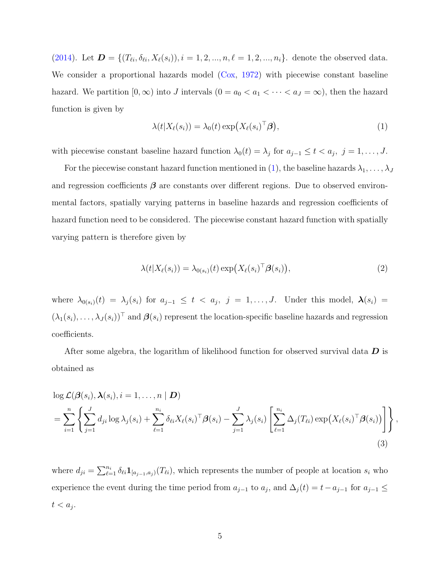[\(2014\)](#page-22-4). Let  $\mathbf{D} = \{ (T_{\ell i}, \delta_{\ell i}, X_{\ell}(s_i)), i = 1, 2, ..., n, \ell = 1, 2, ..., n_i \}.$  denote the observed data. We consider a proportional hazards model  $(Cox, 1972)$  $(Cox, 1972)$  $(Cox, 1972)$  with piecewise constant baseline hazard. We partition  $[0, \infty)$  into J intervals  $(0 = a_0 < a_1 < \cdots < a_J = \infty)$ , then the hazard function is given by

<span id="page-4-0"></span>
$$
\lambda(t|X_{\ell}(s_i)) = \lambda_0(t) \exp\bigl(X_{\ell}(s_i)^{\top} \boldsymbol{\beta}\bigr),\tag{1}
$$

with piecewise constant baseline hazard function  $\lambda_0(t) = \lambda_j$  for  $a_{j-1} \le t < a_j$ ,  $j = 1, \ldots, J$ .

For the piecewise constant hazard function mentioned in [\(1\)](#page-4-0), the baseline hazards  $\lambda_1, \ldots, \lambda_J$ and regression coefficients  $\beta$  are constants over different regions. Due to observed environmental factors, spatially varying patterns in baseline hazards and regression coefficients of hazard function need to be considered. The piecewise constant hazard function with spatially varying pattern is therefore given by

$$
\lambda(t|X_{\ell}(s_i)) = \lambda_{0(s_i)}(t) \exp(X_{\ell}(s_i)^{\top} \boldsymbol{\beta}(s_i)), \qquad (2)
$$

where  $\lambda_{0(s_i)}(t) = \lambda_j(s_i)$  for  $a_{j-1} \leq t < a_j$ ,  $j = 1, \ldots, J$ . Under this model,  $\lambda(s_i)$  =  $(\lambda_1(s_i), \ldots, \lambda_J(s_i))^T$  and  $\boldsymbol{\beta}(s_i)$  represent the location-specific baseline hazards and regression coefficients.

After some algebra, the logarithm of likelihood function for observed survival data  $D$  is obtained as

<span id="page-4-1"></span>
$$
\log \mathcal{L}(\beta(s_i), \lambda(s_i), i = 1, ..., n | \mathbf{D})
$$
\n
$$
= \sum_{i=1}^n \left\{ \sum_{j=1}^J d_{ji} \log \lambda_j(s_i) + \sum_{\ell=1}^{n_i} \delta_{\ell i} X_{\ell}(s_i)^{\top} \beta(s_i) - \sum_{j=1}^J \lambda_j(s_i) \left[ \sum_{\ell=1}^{n_i} \Delta_j(T_{\ell i}) \exp(X_{\ell}(s_i)^{\top} \beta(s_i)) \right] \right\},
$$
\n(3)

where  $d_{ji} = \sum_{\ell=1}^{n_i} \delta_{\ell i} \mathbf{1}_{[a_{j-1},a_j)}(T_{\ell i})$ , which represents the number of people at location  $s_i$  who experience the event during the time period from  $a_{j-1}$  to  $a_j$ , and  $\Delta_j(t) = t - a_{j-1}$  for  $a_{j-1} \leq$  $t < a_j$ .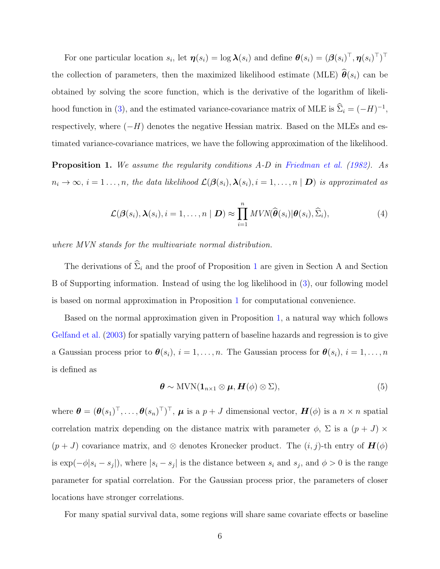For one particular location  $s_i$ , let  $\boldsymbol{\eta}(s_i) = \log \boldsymbol{\lambda}(s_i)$  and define  $\boldsymbol{\theta}(s_i) = (\boldsymbol{\beta}(s_i)^{\top}, \boldsymbol{\eta}(s_i)^{\top})^{\top}$ the collection of parameters, then the maximized likelihood estimate (MLE)  $\hat{\theta}(s_i)$  can be obtained by solving the score function, which is the derivative of the logarithm of likeli-hood function in [\(3\)](#page-4-1), and the estimated variance-covariance matrix of MLE is  $\hat{\Sigma}_i = (-H)^{-1}$ , respectively, where  $(-H)$  denotes the negative Hessian matrix. Based on the MLEs and estimated variance-covariance matrices, we have the following approximation of the likelihood.

<span id="page-5-0"></span>Proposition 1. We assume the regularity conditions A-D in [Friedman et al.](#page-23-3) [\(1982\)](#page-23-3). As  $n_i \to \infty$ ,  $i = 1 \ldots, n$ , the data likelihood  $\mathcal{L}(\mathcal{B}(s_i), \lambda(s_i), i = 1, \ldots, n | \mathbf{D})$  is approximated as

$$
\mathcal{L}(\boldsymbol{\beta}(s_i), \boldsymbol{\lambda}(s_i), i = 1, \dots, n \mid \boldsymbol{D}) \approx \prod_{i=1}^n MVN(\widehat{\boldsymbol{\theta}}(s_i)|\boldsymbol{\theta}(s_i), \widehat{\Sigma}_i),
$$
\n(4)

where MVN stands for the multivariate normal distribution.

The derivations of  $\hat{\Sigma}_i$  and the proof of Proposition [1](#page-5-0) are given in Section A and Section B of Supporting information. Instead of using the log likelihood in [\(3\)](#page-4-1), our following model is based on normal approximation in Proposition [1](#page-5-0) for computational convenience.

Based on the normal approximation given in Proposition [1,](#page-5-0) a natural way which follows [Gelfand et al.](#page-23-4) [\(2003\)](#page-23-4) for spatially varying pattern of baseline hazards and regression is to give a Gaussian process prior to  $\theta(s_i)$ ,  $i = 1, ..., n$ . The Gaussian process for  $\theta(s_i)$ ,  $i = 1, ..., n$ is defined as

$$
\boldsymbol{\theta} \sim \text{MVN}(\mathbf{1}_{n\times 1} \otimes \boldsymbol{\mu}, \boldsymbol{H}(\phi) \otimes \boldsymbol{\Sigma}),
$$
\n(5)

where  $\boldsymbol{\theta} = (\boldsymbol{\theta}(s_1)^{\top}, \dots, \boldsymbol{\theta}(s_n)^{\top})^{\top}, \boldsymbol{\mu}$  is a  $p + J$  dimensional vector,  $\boldsymbol{H}(\phi)$  is a  $n \times n$  spatial correlation matrix depending on the distance matrix with parameter  $\phi$ ,  $\Sigma$  is a  $(p+J) \times$  $(p + J)$  covariance matrix, and ⊗ denotes Kronecker product. The  $(i, j)$ -th entry of  $\mathbf{H}(\phi)$ is  $\exp(-\phi|s_i - s_j|)$ , where  $|s_i - s_j|$  is the distance between  $s_i$  and  $s_j$ , and  $\phi > 0$  is the range parameter for spatial correlation. For the Gaussian process prior, the parameters of closer locations have stronger correlations.

For many spatial survival data, some regions will share same covariate effects or baseline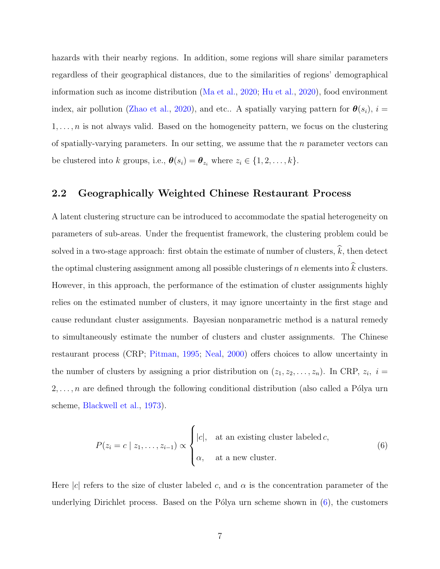hazards with their nearby regions. In addition, some regions will share similar parameters regardless of their geographical distances, due to the similarities of regions' demographical information such as income distribution [\(Ma et al.,](#page-24-8) [2020;](#page-24-8) [Hu et al.,](#page-23-5) [2020\)](#page-23-5), food environment index, air pollution [\(Zhao et al.,](#page-25-6) [2020\)](#page-25-6), and etc.. A spatially varying pattern for  $\theta(s_i)$ ,  $i =$  $1, \ldots, n$  is not always valid. Based on the homogeneity pattern, we focus on the clustering of spatially-varying parameters. In our setting, we assume that the  $n$  parameter vectors can be clustered into k groups, i.e.,  $\boldsymbol{\theta}(s_i) = \boldsymbol{\theta}_{z_i}$  where  $z_i \in \{1, 2, ..., k\}$ .

### 2.2 Geographically Weighted Chinese Restaurant Process

A latent clustering structure can be introduced to accommodate the spatial heterogeneity on parameters of sub-areas. Under the frequentist framework, the clustering problem could be solved in a two-stage approach: first obtain the estimate of number of clusters,  $\widehat{k}$ , then detect the optimal clustering assignment among all possible clusterings of  $n$  elements into  $k$  clusters. However, in this approach, the performance of the estimation of cluster assignments highly relies on the estimated number of clusters, it may ignore uncertainty in the first stage and cause redundant cluster assignments. Bayesian nonparametric method is a natural remedy to simultaneously estimate the number of clusters and cluster assignments. The Chinese restaurant process (CRP; [Pitman,](#page-25-5) [1995;](#page-25-5) [Neal,](#page-24-9) [2000\)](#page-24-9) offers choices to allow uncertainty in the number of clusters by assigning a prior distribution on  $(z_1, z_2, \ldots, z_n)$ . In CRP,  $z_i$ ,  $i =$  $2, \ldots, n$  are defined through the following conditional distribution (also called a Pólya urn scheme, [Blackwell et al.,](#page-22-6) [1973\)](#page-22-6).

<span id="page-6-0"></span>
$$
P(z_i = c \mid z_1, \dots, z_{i-1}) \propto \begin{cases} |c|, & \text{at an existing cluster labeled } c, \\ \alpha, & \text{at a new cluster.} \end{cases}
$$
 (6)

Here |c| refers to the size of cluster labeled c, and  $\alpha$  is the concentration parameter of the underlying Dirichlet process. Based on the Pólya urn scheme shown in  $(6)$ , the customers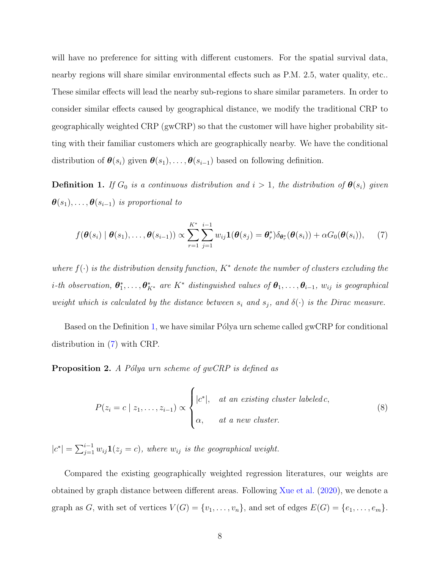will have no preference for sitting with different customers. For the spatial survival data, nearby regions will share similar environmental effects such as P.M. 2.5, water quality, etc.. These similar effects will lead the nearby sub-regions to share similar parameters. In order to consider similar effects caused by geographical distance, we modify the traditional CRP to geographically weighted CRP (gwCRP) so that the customer will have higher probability sitting with their familiar customers which are geographically nearby. We have the conditional distribution of  $\theta(s_i)$  given  $\theta(s_1), \ldots, \theta(s_{i-1})$  based on following definition.

<span id="page-7-0"></span>**Definition 1.** If  $G_0$  is a continuous distribution and  $i > 1$ , the distribution of  $\theta(s_i)$  given  $\boldsymbol{\theta}(s_1), \ldots, \boldsymbol{\theta}(s_{i-1})$  is proportional to

<span id="page-7-1"></span>
$$
f(\boldsymbol{\theta}(s_i) | \boldsymbol{\theta}(s_1), \ldots, \boldsymbol{\theta}(s_{i-1})) \propto \sum_{r=1}^{K^*} \sum_{j=1}^{i-1} w_{ij} \mathbf{1}(\boldsymbol{\theta}(s_j) = \boldsymbol{\theta}_r^*) \delta_{\boldsymbol{\theta}_r^*}(\boldsymbol{\theta}(s_i)) + \alpha G_0(\boldsymbol{\theta}(s_i)), \quad (7)
$$

where  $f(\cdot)$  is the distribution density function,  $K^*$  denote the number of clusters excluding the *i*-th observation,  $\theta_1^*, \ldots, \theta_{K^*}^*$  are  $K^*$  distinguished values of  $\theta_1, \ldots, \theta_{i-1}$ ,  $w_{ij}$  is geographical weight which is calculated by the distance between  $s_i$  and  $s_j$ , and  $\delta(\cdot)$  is the Dirac measure.

Based on the Definition [1,](#page-7-0) we have similar Pólya urn scheme called gwCRP for conditional distribution in [\(7\)](#page-7-1) with CRP.

<span id="page-7-3"></span>**Proposition 2.** A Pólya urn scheme of gwCRP is defined as

<span id="page-7-2"></span>
$$
P(z_i = c \mid z_1, \dots, z_{i-1}) \propto \begin{cases} |c^*|, & \text{at an existing cluster labeled } c, \\ \alpha, & \text{at a new cluster.} \end{cases}
$$
 (8)

 $|c^*| = \sum_{j=1}^{i-1} w_{ij} \mathbf{1}(z_j = c)$ , where  $w_{ij}$  is the geographical weight.

Compared the existing geographically weighted regression literatures, our weights are obtained by graph distance between different areas. Following [Xue et al.](#page-25-4) [\(2020\)](#page-25-4), we denote a graph as G, with set of vertices  $V(G) = \{v_1, \ldots, v_n\}$ , and set of edges  $E(G) = \{e_1, \ldots, e_m\}$ .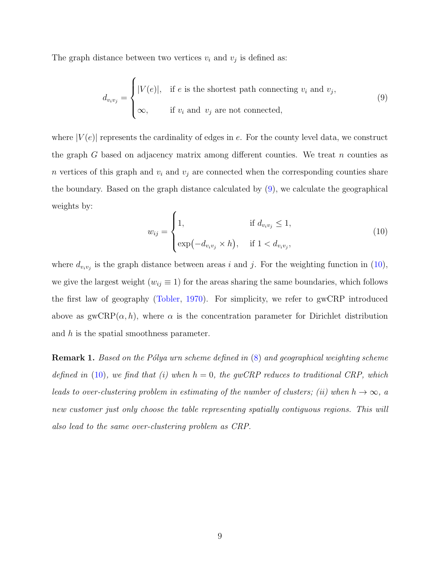The graph distance between two vertices  $v_i$  and  $v_j$  is defined as:

<span id="page-8-0"></span>
$$
d_{v_i v_j} = \begin{cases} |V(e)|, & \text{if } e \text{ is the shortest path connecting } v_i \text{ and } v_j, \\ \infty, & \text{if } v_i \text{ and } v_j \text{ are not connected,} \end{cases}
$$
 (9)

where  $|V(e)|$  represents the cardinality of edges in e. For the county level data, we construct the graph G based on adjacency matrix among different counties. We treat n counties as n vertices of this graph and  $v_i$  and  $v_j$  are connected when the corresponding counties share the boundary. Based on the graph distance calculated by [\(9\)](#page-8-0), we calculate the geographical weights by:

<span id="page-8-1"></span>
$$
w_{ij} = \begin{cases} 1, & \text{if } d_{v_i v_j} \le 1, \\ \exp(-d_{v_i v_j} \times h), & \text{if } 1 < d_{v_i v_j}, \end{cases} \tag{10}
$$

where  $d_{v_i v_j}$  is the graph distance between areas i and j. For the weighting function in [\(10\)](#page-8-1), we give the largest weight ( $w_{ij} \equiv 1$ ) for the areas sharing the same boundaries, which follows the first law of geography [\(Tobler,](#page-25-1) [1970\)](#page-25-1). For simplicity, we refer to gwCRP introduced above as  $\text{gwCRP}(\alpha, h)$ , where  $\alpha$  is the concentration parameter for Dirichlet distribution and  $h$  is the spatial smoothness parameter.

<span id="page-8-2"></span>**Remark 1.** Based on the Pólya urn scheme defined in  $(8)$  and geographical weighting scheme defined in [\(10\)](#page-8-1), we find that (i) when  $h = 0$ , the gwCRP reduces to traditional CRP, which leads to over-clustering problem in estimating of the number of clusters; (ii) when  $h \to \infty$ , a new customer just only choose the table representing spatially contiguous regions. This will also lead to the same over-clustering problem as CRP.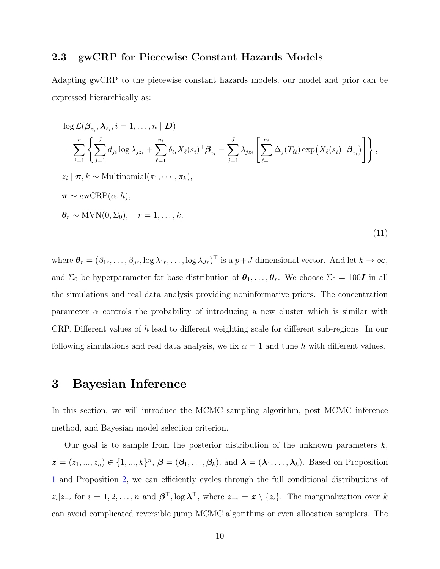## 2.3 gwCRP for Piecewise Constant Hazards Models

Adapting gwCRP to the piecewise constant hazards models, our model and prior can be expressed hierarchically as:

$$
\log \mathcal{L}(\beta_{z_i}, \lambda_{z_i}, i = 1, ..., n | \mathbf{D})
$$
\n
$$
= \sum_{i=1}^n \left\{ \sum_{j=1}^J d_{ji} \log \lambda_{jz_i} + \sum_{\ell=1}^{n_i} \delta_{\ell i} X_{\ell}(s_i)^{\top} \beta_{z_i} - \sum_{j=1}^J \lambda_{jz_i} \left[ \sum_{\ell=1}^{n_i} \Delta_j (T_{\ell i}) \exp(X_{\ell}(s_i)^{\top} \beta_{z_i}) \right] \right\},
$$
\n
$$
z_i | \boldsymbol{\pi}, k \sim \text{Multinomial}(\pi_1, \dots, \pi_k),
$$
\n
$$
\boldsymbol{\pi} \sim \text{gwCRP}(\alpha, h),
$$
\n
$$
\boldsymbol{\theta}_r \sim \text{MVN}(0, \Sigma_0), \quad r = 1, ..., k,
$$
\n(11)

where  $\boldsymbol{\theta}_r = (\beta_{1r}, \dots, \beta_{pr}, \log \lambda_{1r}, \dots, \log \lambda_{Jr})^\top$  is a  $p + J$  dimensional vector. And let  $k \to \infty$ , and  $\Sigma_0$  be hyperparameter for base distribution of  $\theta_1, \ldots, \theta_r$ . We choose  $\Sigma_0 = 100$ **I** in all the simulations and real data analysis providing noninformative priors. The concentration parameter  $\alpha$  controls the probability of introducing a new cluster which is similar with CRP. Different values of h lead to different weighting scale for different sub-regions. In our following simulations and real data analysis, we fix  $\alpha = 1$  and tune h with different values.

## <span id="page-9-0"></span>3 Bayesian Inference

In this section, we will introduce the MCMC sampling algorithm, post MCMC inference method, and Bayesian model selection criterion.

Our goal is to sample from the posterior distribution of the unknown parameters  $k$ ,  $\boldsymbol{z}=(z_1,...,z_n)\in\{1,...,k\}^n, \boldsymbol{\beta}=(\beta_1,\ldots,\beta_k), \text{ and } \boldsymbol{\lambda}=(\boldsymbol{\lambda}_1,\ldots,\boldsymbol{\lambda}_k).$  Based on Proposition [1](#page-5-0) and Proposition [2,](#page-7-3) we can efficiently cycles through the full conditional distributions of  $z_i | z_{-i}$  for  $i = 1, 2, \ldots, n$  and  $\boldsymbol{\beta}^\top$ ,  $\log \boldsymbol{\lambda}^\top$ , where  $z_{-i} = \boldsymbol{z} \setminus \{z_i\}$ . The marginalization over k can avoid complicated reversible jump MCMC algorithms or even allocation samplers. The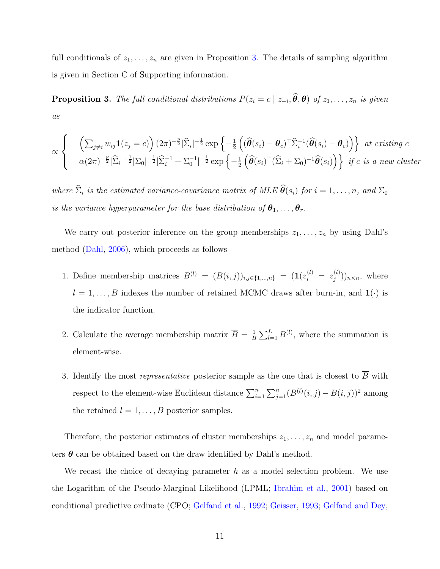full conditionals of  $z_1, \ldots, z_n$  are given in Proposition [3.](#page-10-0) The details of sampling algorithm is given in Section C of Supporting information.

<span id="page-10-0"></span>**Proposition 3.** The full conditional distributions  $P(z_i = c \mid z_{-i}, \theta, \theta)$  of  $z_1, \ldots, z_n$  is given as

$$
\propto \begin{cases} & \left(\sum_{j\neq i} w_{ij} \mathbf{1}(z_j = c)\right) (2\pi)^{-\frac{p}{2}} |\widehat{\Sigma}_i|^{-\frac{1}{2}} \exp\left\{-\frac{1}{2} \left( (\widehat{\boldsymbol{\theta}}(s_i) - \boldsymbol{\theta}_c)^{\top} \widehat{\Sigma}_i^{-1} (\widehat{\boldsymbol{\theta}}(s_i) - \boldsymbol{\theta}_c) \right) \right\} & \text{at existing } c \\ & \alpha (2\pi)^{-\frac{p}{2}} |\widehat{\Sigma}_i|^{-\frac{1}{2}} |\Sigma_0|^{-\frac{1}{2}} |\widehat{\Sigma}_i^{-1} + \Sigma_0^{-1}|^{-\frac{1}{2}} \exp\left\{-\frac{1}{2} \left( \widehat{\boldsymbol{\theta}}(s_i)^{\top} (\widehat{\Sigma}_i + \Sigma_0)^{-1} \widehat{\boldsymbol{\theta}}(s_i) \right) \right\} & \text{if } c \text{ is a new cluster} \end{cases}
$$

where  $\widehat{\Sigma}_i$  is the estimated variance-covariance matrix of MLE  $\widehat{\theta}(s_i)$  for  $i = 1, \ldots, n$ , and  $\Sigma_0$ is the variance hyperparameter for the base distribution of  $\theta_1, \ldots, \theta_r$ .

We carry out posterior inference on the group memberships  $z_1, \ldots, z_n$  by using Dahl's method [\(Dahl,](#page-22-7) [2006\)](#page-22-7), which proceeds as follows

- 1. Define membership matrices  $B^{(l)} = (B(i,j))_{i,j \in \{1,...,n\}} = (1(z_i^{(l)} = z_j^{(l)})$  $j^{(\iota)}))_{n\times n}$ , where  $l = 1, \ldots, B$  indexes the number of retained MCMC draws after burn-in, and  $\mathbf{1}(\cdot)$  is the indicator function.
- 2. Calculate the average membership matrix  $\overline{B} = \frac{1}{B}$  $\frac{1}{B}\sum_{l=1}^{L} B^{(l)}$ , where the summation is element-wise.
- 3. Identify the most *representative* posterior sample as the one that is closest to  $\overline{B}$  with respect to the element-wise Euclidean distance  $\sum_{i=1}^{n} \sum_{j=1}^{n} (B^{(l)}(i,j) - \overline{B}(i,j))^2$  among the retained  $l = 1, \ldots, B$  posterior samples.

Therefore, the posterior estimates of cluster memberships  $z_1, \ldots, z_n$  and model parameters  $\theta$  can be obtained based on the draw identified by Dahl's method.

We recast the choice of decaying parameter  $h$  as a model selection problem. We use the Logarithm of the Pseudo-Marginal Likelihood (LPML; [Ibrahim et al.,](#page-24-10) [2001\)](#page-24-10) based on conditional predictive ordinate (CPO; [Gelfand et al.,](#page-23-6) [1992;](#page-23-6) [Geisser,](#page-23-7) [1993;](#page-23-7) [Gelfand and Dey,](#page-23-8)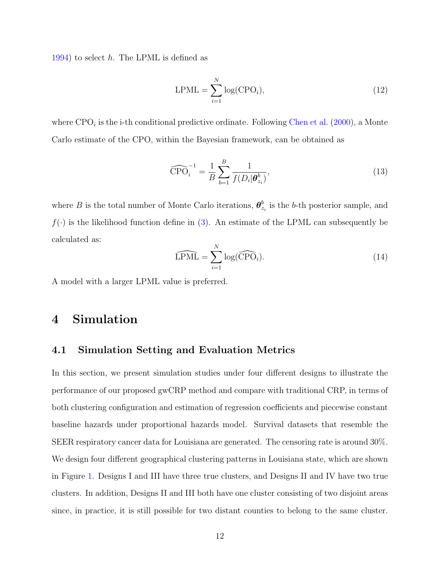[1994\)](#page-23-8) to select h. The LPML is defined as

$$
LPML = \sum_{i=1}^{N} \log(CPO_i), \qquad (12)
$$

where  $CPO_i$  is the i-th conditional predictive ordinate. Following [Chen et al.](#page-22-8) [\(2000\)](#page-22-8), a Monte Carlo estimate of the CPO, within the Bayesian framework, can be obtained as

$$
\widehat{\text{CPO}}_i^{-1} = \frac{1}{B} \sum_{b=1}^B \frac{1}{f(D_i | \boldsymbol{\theta}_{z_i}^b)},\tag{13}
$$

where B is the total number of Monte Carlo iterations,  $\boldsymbol{\theta}_{z}^{b}$  $\frac{b}{z_i}$  is the b-th posterior sample, and  $f(\cdot)$  is the likelihood function define in [\(3\)](#page-4-1). An estimate of the LPML can subsequently be calculated as:

$$
\widehat{\text{LPML}} = \sum_{i=1}^{N} \log(\widehat{\text{CPO}}_i). \tag{14}
$$

A model with a larger LPML value is preferred.

# <span id="page-11-0"></span>4 Simulation

#### 4.1 Simulation Setting and Evaluation Metrics

In this section, we present simulation studies under four different designs to illustrate the performance of our proposed gwCRP method and compare with traditional CRP, in terms of both clustering configuration and estimation of regression coefficients and piecewise constant baseline hazards under proportional hazards model. Survival datasets that resemble the SEER respiratory cancer data for Louisiana are generated. The censoring rate is around 30%. We design four different geographical clustering patterns in Louisiana state, which are shown in Figure [1.](#page-13-0) Designs I and III have three true clusters, and Designs II and IV have two true clusters. In addition, Designs II and III both have one cluster consisting of two disjoint areas since, in practice, it is still possible for two distant counties to belong to the same cluster.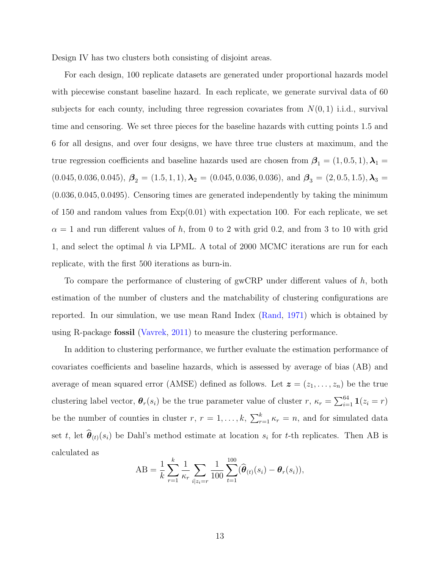Design IV has two clusters both consisting of disjoint areas.

For each design, 100 replicate datasets are generated under proportional hazards model with piecewise constant baseline hazard. In each replicate, we generate survival data of 60 subjects for each county, including three regression covariates from  $N(0, 1)$  i.i.d., survival time and censoring. We set three pieces for the baseline hazards with cutting points 1.5 and 6 for all designs, and over four designs, we have three true clusters at maximum, and the true regression coefficients and baseline hazards used are chosen from  $\beta_1 = (1, 0.5, 1), \lambda_1 =$  $(0.045, 0.036, 0.045), \beta_2 = (1.5, 1, 1), \lambda_2 = (0.045, 0.036, 0.036), \text{ and } \beta_3 = (2, 0.5, 1.5), \lambda_3 =$ (0.036, 0.045, 0.0495). Censoring times are generated independently by taking the minimum of 150 and random values from  $Exp(0.01)$  with expectation 100. For each replicate, we set  $\alpha = 1$  and run different values of h, from 0 to 2 with grid 0.2, and from 3 to 10 with grid 1, and select the optimal h via LPML. A total of  $2000$  MCMC iterations are run for each replicate, with the first 500 iterations as burn-in.

To compare the performance of clustering of gwCRP under different values of  $h$ , both estimation of the number of clusters and the matchability of clustering configurations are reported. In our simulation, we use mean Rand Index [\(Rand,](#page-25-7) [1971\)](#page-25-7) which is obtained by using R-package fossil [\(Vavrek,](#page-25-8) [2011\)](#page-25-8) to measure the clustering performance.

In addition to clustering performance, we further evaluate the estimation performance of covariates coefficients and baseline hazards, which is assessed by average of bias (AB) and average of mean squared error (AMSE) defined as follows. Let  $\boldsymbol{z} = (z_1, \ldots, z_n)$  be the true clustering label vector,  $\theta_r(s_i)$  be the true parameter value of cluster  $r, \kappa_r = \sum_{i=1}^{64} \mathbf{1}(z_i = r)$ be the number of counties in cluster  $r, r = 1, \ldots, k, \sum_{r=1}^{k} \kappa_r = n$ , and for simulated data set t, let  $\theta_{(t)}(s_i)$  be Dahl's method estimate at location  $s_i$  for t-th replicates. Then AB is calculated as

AB = 
$$
\frac{1}{k} \sum_{r=1}^{k} \frac{1}{\kappa_r} \sum_{i|z_i = r} \frac{1}{100} \sum_{t=1}^{100} (\hat{\theta}_{(t)}(s_i) - \theta_r(s_i)),
$$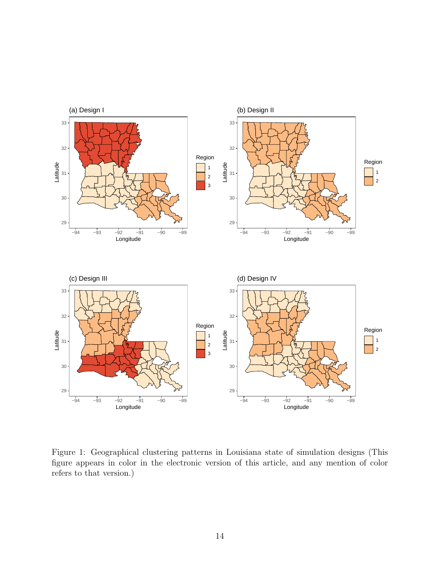

<span id="page-13-0"></span>Figure 1: Geographical clustering patterns in Louisiana state of simulation designs (This figure appears in color in the electronic version of this article, and any mention of color refers to that version.)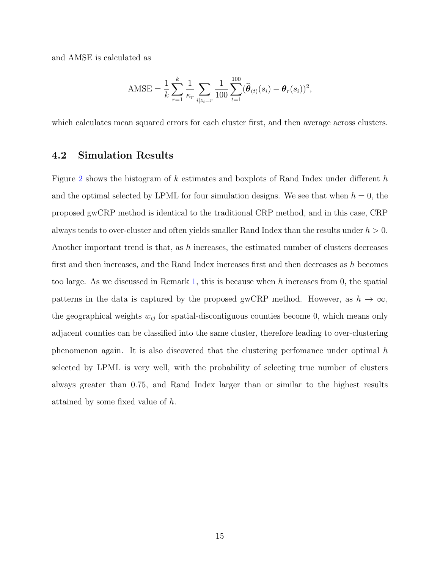and AMSE is calculated as

$$
\text{AMSE} = \frac{1}{k} \sum_{r=1}^{k} \frac{1}{\kappa_r} \sum_{i \mid z_i = r} \frac{1}{100} \sum_{t=1}^{100} (\widehat{\boldsymbol{\theta}}_{(t)}(s_i) - \boldsymbol{\theta}_r(s_i))^2,
$$

which calculates mean squared errors for each cluster first, and then average across clusters.

#### 4.2 Simulation Results

Figure [2](#page-15-0) shows the histogram of  $k$  estimates and boxplots of Rand Index under different  $h$ and the optimal selected by LPML for four simulation designs. We see that when  $h = 0$ , the proposed gwCRP method is identical to the traditional CRP method, and in this case, CRP always tends to over-cluster and often yields smaller Rand Index than the results under  $h > 0$ . Another important trend is that, as h increases, the estimated number of clusters decreases first and then increases, and the Rand Index increases first and then decreases as h becomes too large. As we discussed in Remark [1,](#page-8-2) this is because when h increases from 0, the spatial patterns in the data is captured by the proposed gwCRP method. However, as  $h \to \infty$ , the geographical weights  $w_{ij}$  for spatial-discontiguous counties become 0, which means only adjacent counties can be classified into the same cluster, therefore leading to over-clustering phenomenon again. It is also discovered that the clustering perfomance under optimal h selected by LPML is very well, with the probability of selecting true number of clusters always greater than 0.75, and Rand Index larger than or similar to the highest results attained by some fixed value of h.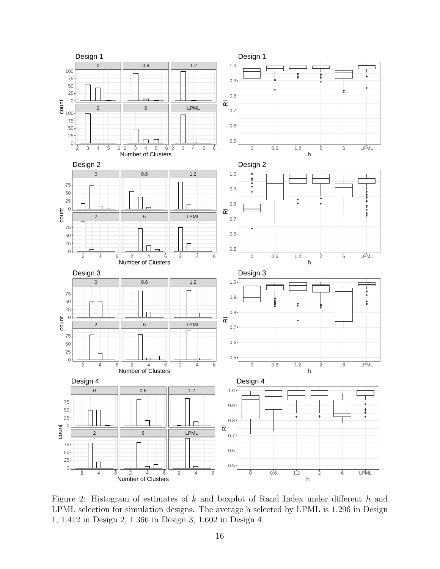

<span id="page-15-0"></span>Figure 2: Histogram of estimates of k and boxplot of Rand Index under different h and LPML selection for simulation designs. The average h selected by LPML is 1.296 in Design 1, 1.412 in Design 2, 1.366 in Design 3, 1.602 in Design 4.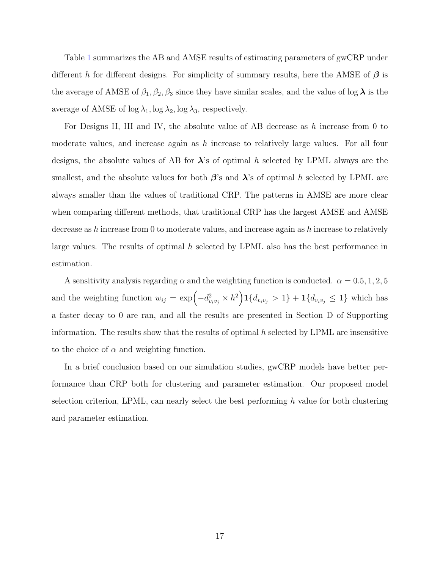Table [1](#page-17-0) summarizes the AB and AMSE results of estimating parameters of gwCRP under different h for different designs. For simplicity of summary results, here the AMSE of  $\beta$  is the average of AMSE of  $\beta_1, \beta_2, \beta_3$  since they have similar scales, and the value of log  $\lambda$  is the average of AMSE of  $\log \lambda_1$ ,  $\log \lambda_2$ ,  $\log \lambda_3$ , respectively.

For Designs II, III and IV, the absolute value of AB decrease as h increase from 0 to moderate values, and increase again as  $h$  increase to relatively large values. For all four designs, the absolute values of AB for  $\lambda$ 's of optimal h selected by LPML always are the smallest, and the absolute values for both  $\beta$ 's and  $\lambda$ 's of optimal h selected by LPML are always smaller than the values of traditional CRP. The patterns in AMSE are more clear when comparing different methods, that traditional CRP has the largest AMSE and AMSE decrease as h increase from 0 to moderate values, and increase again as h increase to relatively large values. The results of optimal  $h$  selected by LPML also has the best performance in estimation.

A sensitivity analysis regarding  $\alpha$  and the weighting function is conducted.  $\alpha = 0.5, 1, 2, 5$ and the weighting function  $w_{ij} = \exp(-d_{v_i v_j}^2 \times h^2) \mathbf{1} \{d_{v_i v_j} > 1\} + \mathbf{1} \{d_{v_i v_j} \leq 1\}$  which has a faster decay to 0 are ran, and all the results are presented in Section D of Supporting information. The results show that the results of optimal  $h$  selected by LPML are insensitive to the choice of  $\alpha$  and weighting function.

In a brief conclusion based on our simulation studies, gwCRP models have better performance than CRP both for clustering and parameter estimation. Our proposed model selection criterion, LPML, can nearly select the best performing h value for both clustering and parameter estimation.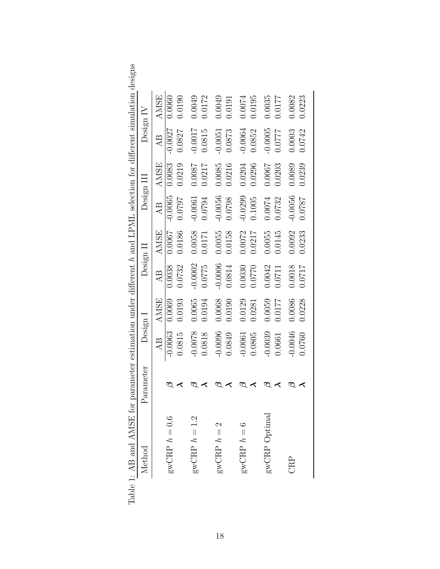|                                                                                                                |           |             |                             |             |            |             |           | le 1: AB and AMSE for parameter estimation under different h and LPML selection for different simulation designs |
|----------------------------------------------------------------------------------------------------------------|-----------|-------------|-----------------------------|-------------|------------|-------------|-----------|------------------------------------------------------------------------------------------------------------------|
| Parameter                                                                                                      | Design 1  |             | $\operatorname{Design} \Pi$ |             | Design III |             | Design IV |                                                                                                                  |
|                                                                                                                | AB        | <b>AMSE</b> | A <sub>B</sub>              | <b>AMSE</b> | AB         | <b>AMSE</b> | AB        | <b>AMSE</b>                                                                                                      |
| D                                                                                                              | $-0.0063$ | 0.0069      | 0.0038                      | 0.0067      | $-0.0065$  | 0.0083      | $-0.0027$ | 0.0060                                                                                                           |
| べ                                                                                                              | 0.0815    | 0.0193      | 0.0732                      | 0.0186      | 0.0797     | 0.0219      | 0.0827    | 0.0190                                                                                                           |
| ಲ                                                                                                              | $-0.0078$ | 0.0065      | $-0.0002$                   | 0.0058      | $-0.0061$  | 0.0087      | $-0.0017$ | 0.0049                                                                                                           |
|                                                                                                                | 0.0818    | 0.0194      | 0.0775                      | 0.0171      | 0.0794     | 0.0217      | 0.0815    | 0.0172                                                                                                           |
|                                                                                                                | $-0.0096$ | 0.0068      | $-0.0006$                   | 0.0055      | $-0.0056$  | 0.0085      | $-0.0051$ | 0.0049                                                                                                           |
| ≺                                                                                                              | 0.0849    | 0.0190      | 0.0814                      | 0.0158      | 0.0798     | 0.0216      | 0.0873    | 0.0191                                                                                                           |
|                                                                                                                | $-0.0061$ | 0.0129      | 0.0030                      | 0.0072      | $-0.0299$  | 0.0204      | $-0.0064$ | 0.0074                                                                                                           |
| ≺                                                                                                              | 0.0805    | 0.0281      | 0.0770                      | 0.0217      | 0.1005     | 0.0296      | 0.0852    | 0.0195                                                                                                           |
| $\mathcal{D}% _{T}=\mathcal{P}_{T}\!\left( a,b\right) ,\ \mathcal{P}_{T}=\mathcal{P}_{T}\!\left( a,b\right) ,$ | 0.0039    | 0.0059      | 0.0042                      | 0.0055      | 0.0074     | 0.0007      | $-0.0005$ | 0.0035                                                                                                           |
| $\prec$                                                                                                        | 1.0661    | 0.0177      | 1.0711                      | 0.0145      | 0.0732     | 0.0203      | 0.0777    | 10.0177                                                                                                          |
| $\mathcal{D}% _{T}=\mathcal{P}_{T}\!\left( a,b\right) ,\ \mathcal{P}_{T}=\mathcal{P}_{T}\!\left( a,b\right) ,$ | 0.0046    | 0.0086      | 0.0018                      | 0.0092      | $-0.0056$  | 0.0089      | 0.0003    | 0.0082                                                                                                           |
| $\prec$                                                                                                        | 0.0760    | 0.228       | 0.0717                      | 0.0233      | 1820:0     | 0.0239      | 0.0742    | 0.223                                                                                                            |
|                                                                                                                |           |             |                             |             |            |             |           |                                                                                                                  |

<span id="page-17-0"></span>

| Contract and any co<br>)<br>1                                                                                                                                                                                                                                                                                                          |                  |
|----------------------------------------------------------------------------------------------------------------------------------------------------------------------------------------------------------------------------------------------------------------------------------------------------------------------------------------|------------------|
|                                                                                                                                                                                                                                                                                                                                        |                  |
| י<br>נ                                                                                                                                                                                                                                                                                                                                 | $\overline{r}$   |
| $-1$                                                                                                                                                                                                                                                                                                                                   |                  |
|                                                                                                                                                                                                                                                                                                                                        | $\mathbf{r}$     |
| $\ddot{\xi}$                                                                                                                                                                                                                                                                                                                           |                  |
| くらくせい                                                                                                                                                                                                                                                                                                                                  |                  |
|                                                                                                                                                                                                                                                                                                                                        | F                |
| くう・・・                                                                                                                                                                                                                                                                                                                                  |                  |
|                                                                                                                                                                                                                                                                                                                                        |                  |
|                                                                                                                                                                                                                                                                                                                                        | .<br>م           |
| $\frac{1}{2}$ $\frac{1}{2}$ $\frac{1}{2}$ $\frac{1}{2}$ $\frac{1}{2}$ $\frac{1}{2}$ $\frac{1}{2}$ $\frac{1}{2}$ $\frac{1}{2}$ $\frac{1}{2}$ $\frac{1}{2}$ $\frac{1}{2}$ $\frac{1}{2}$ $\frac{1}{2}$ $\frac{1}{2}$ $\frac{1}{2}$ $\frac{1}{2}$ $\frac{1}{2}$ $\frac{1}{2}$ $\frac{1}{2}$ $\frac{1}{2}$ $\frac{1}{2}$<br>.<br> <br> <br> |                  |
|                                                                                                                                                                                                                                                                                                                                        |                  |
|                                                                                                                                                                                                                                                                                                                                        |                  |
| ;<br>}<br>}<br>くいいん                                                                                                                                                                                                                                                                                                                    | ļ                |
|                                                                                                                                                                                                                                                                                                                                        |                  |
|                                                                                                                                                                                                                                                                                                                                        | $\left( \right)$ |
| ļ                                                                                                                                                                                                                                                                                                                                      |                  |
|                                                                                                                                                                                                                                                                                                                                        |                  |
| .<br>^<br>l<br>くらいこう                                                                                                                                                                                                                                                                                                                   | l                |
|                                                                                                                                                                                                                                                                                                                                        |                  |
|                                                                                                                                                                                                                                                                                                                                        |                  |
| temrtpa ratamere.                                                                                                                                                                                                                                                                                                                      | $\mathfrak{c}$   |
|                                                                                                                                                                                                                                                                                                                                        |                  |
|                                                                                                                                                                                                                                                                                                                                        |                  |
| ĺ                                                                                                                                                                                                                                                                                                                                      |                  |
|                                                                                                                                                                                                                                                                                                                                        |                  |
|                                                                                                                                                                                                                                                                                                                                        |                  |
| י<br> <br> <br>                                                                                                                                                                                                                                                                                                                        |                  |
| 「くい                                                                                                                                                                                                                                                                                                                                    |                  |
|                                                                                                                                                                                                                                                                                                                                        |                  |
| $\frac{1}{2}$                                                                                                                                                                                                                                                                                                                          |                  |
|                                                                                                                                                                                                                                                                                                                                        |                  |
| י<br>ו<br>$\int$                                                                                                                                                                                                                                                                                                                       |                  |
|                                                                                                                                                                                                                                                                                                                                        |                  |
| I                                                                                                                                                                                                                                                                                                                                      |                  |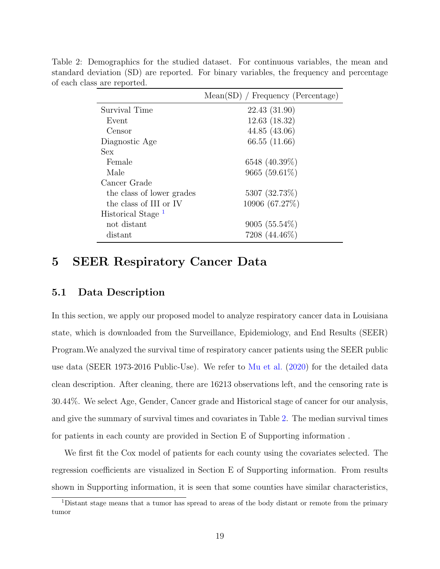|                               | $Mean(SD)$ / Frequency (Percentage) |
|-------------------------------|-------------------------------------|
| Survival Time                 | 22.43 (31.90)                       |
| Event                         | 12.63(18.32)                        |
| Censor                        | 44.85(43.06)                        |
| Diagnostic Age                | 66.55 (11.66)                       |
| <b>Sex</b>                    |                                     |
| Female                        | 6548 (40.39%)                       |
| Male                          | 9665 (59.61\%)                      |
| Cancer Grade                  |                                     |
| the class of lower grades     | 5307 (32.73%)                       |
| the class of III or IV        | 10906 (67.27%)                      |
| Historical Stage <sup>1</sup> |                                     |
| not distant                   | $9005(55.54\%)$                     |
| distant                       | 7208 (44.46%)                       |

<span id="page-18-1"></span>Table 2: Demographics for the studied dataset. For continuous variables, the mean and standard deviation (SD) are reported. For binary variables, the frequency and percentage of each class are reported.

# <span id="page-18-0"></span>5 SEER Respiratory Cancer Data

#### 5.1 Data Description

In this section, we apply our proposed model to analyze respiratory cancer data in Louisiana state, which is downloaded from the Surveillance, Epidemiology, and End Results (SEER) Program.We analyzed the survival time of respiratory cancer patients using the SEER public use data (SEER 1973-2016 Public-Use). We refer to [Mu et al.](#page-24-0) [\(2020\)](#page-24-0) for the detailed data clean description. After cleaning, there are 16213 observations left, and the censoring rate is 30.44%. We select Age, Gender, Cancer grade and Historical stage of cancer for our analysis, and give the summary of survival times and covariates in Table [2.](#page-18-1) The median survival times for patients in each county are provided in Section E of Supporting information .

We first fit the Cox model of patients for each county using the covariates selected. The regression coefficients are visualized in Section E of Supporting information. From results shown in Supporting information, it is seen that some counties have similar characteristics,

<sup>1</sup>Distant stage means that a tumor has spread to areas of the body distant or remote from the primary tumor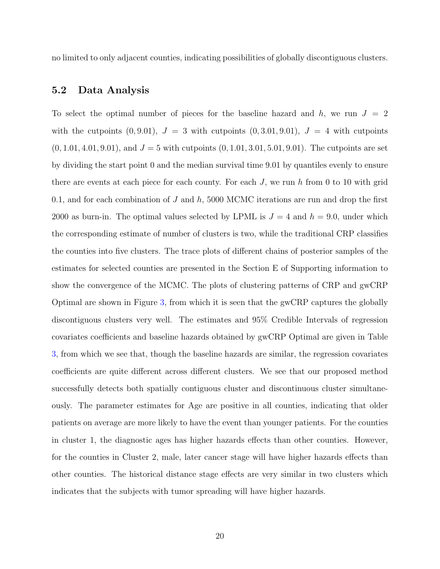no limited to only adjacent counties, indicating possibilities of globally discontiguous clusters.

#### 5.2 Data Analysis

To select the optimal number of pieces for the baseline hazard and h, we run  $J = 2$ with the cutpoints  $(0, 9.01)$ ,  $J = 3$  with cutpoints  $(0, 3.01, 9.01)$ ,  $J = 4$  with cutpoints  $(0, 1.01, 4.01, 9.01)$ , and  $J = 5$  with cutpoints  $(0, 1.01, 3.01, 5.01, 9.01)$ . The cutpoints are set by dividing the start point 0 and the median survival time 9.01 by quantiles evenly to ensure there are events at each piece for each county. For each  $J$ , we run h from 0 to 10 with grid 0.1, and for each combination of  $J$  and  $h$ , 5000 MCMC iterations are run and drop the first 2000 as burn-in. The optimal values selected by LPML is  $J = 4$  and  $h = 9.0$ , under which the corresponding estimate of number of clusters is two, while the traditional CRP classifies the counties into five clusters. The trace plots of different chains of posterior samples of the estimates for selected counties are presented in the Section E of Supporting information to show the convergence of the MCMC. The plots of clustering patterns of CRP and gwCRP Optimal are shown in Figure [3,](#page-20-0) from which it is seen that the gwCRP captures the globally discontiguous clusters very well. The estimates and 95% Credible Intervals of regression covariates coefficients and baseline hazards obtained by gwCRP Optimal are given in Table [3,](#page-20-1) from which we see that, though the baseline hazards are similar, the regression covariates coefficients are quite different across different clusters. We see that our proposed method successfully detects both spatially contiguous cluster and discontinuous cluster simultaneously. The parameter estimates for Age are positive in all counties, indicating that older patients on average are more likely to have the event than younger patients. For the counties in cluster 1, the diagnostic ages has higher hazards effects than other counties. However, for the counties in Cluster 2, male, later cancer stage will have higher hazards effects than other counties. The historical distance stage effects are very similar in two clusters which indicates that the subjects with tumor spreading will have higher hazards.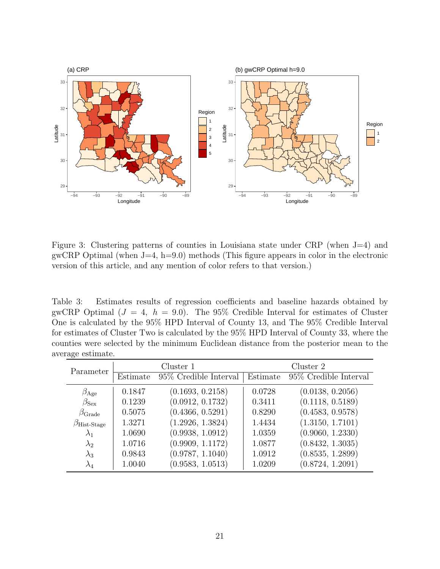

<span id="page-20-0"></span>Figure 3: Clustering patterns of counties in Louisiana state under CRP (when J=4) and gwCRP Optimal (when  $J=4$ ,  $h=9.0$ ) methods (This figure appears in color in the electronic version of this article, and any mention of color refers to that version.)

<span id="page-20-1"></span>Table 3: Estimates results of regression coefficients and baseline hazards obtained by gwCRP Optimal  $(J = 4, h = 9.0)$ . The 95% Credible Interval for estimates of Cluster One is calculated by the 95% HPD Interval of County 13, and The 95% Credible Interval for estimates of Cluster Two is calculated by the 95% HPD Interval of County 33, where the counties were selected by the minimum Euclidean distance from the posterior mean to the average estimate.

| Parameter                   |          | Cluster 1              |          | Cluster 2              |
|-----------------------------|----------|------------------------|----------|------------------------|
|                             | Estimate | 95\% Credible Interval | Estimate | 95\% Credible Interval |
| $\beta_{\text{Age}}$        | 0.1847   | (0.1693, 0.2158)       | 0.0728   | (0.0138, 0.2056)       |
| $\beta_{\text{Sex}}$        | 0.1239   | (0.0912, 0.1732)       | 0.3411   | (0.1118, 0.5189)       |
| $\beta_{\rm Grade}$         | 0.5075   | (0.4366, 0.5291)       | 0.8290   | (0.4583, 0.9578)       |
| $\beta_{\text{Hist-Stage}}$ | 1.3271   | (1.2926, 1.3824)       | 1.4434   | (1.3150, 1.7101)       |
| $\lambda_1$                 | 1.0690   | (0.9938, 1.0912)       | 1.0359   | (0.9060, 1.2330)       |
| $\lambda_2$                 | 1.0716   | (0.9909, 1.1172)       | 1.0877   | (0.8432, 1.3035)       |
| $\lambda_3$                 | 0.9843   | (0.9787, 1.1040)       | 1.0912   | (0.8535, 1.2899)       |
| $\lambda_4$                 | 1.0040   | (0.9583, 1.0513)       | 1.0209   | (0.8724, 1.2091)       |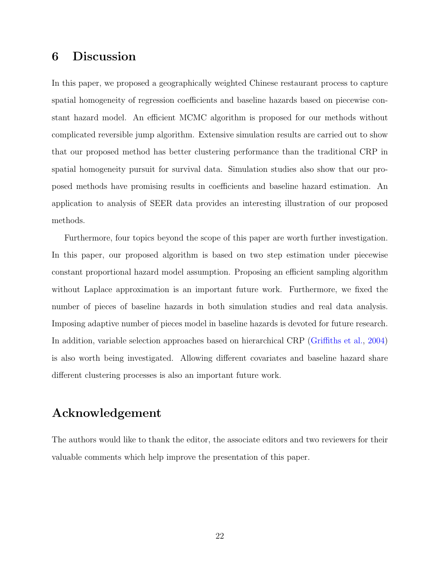## <span id="page-21-0"></span>6 Discussion

In this paper, we proposed a geographically weighted Chinese restaurant process to capture spatial homogeneity of regression coefficients and baseline hazards based on piecewise constant hazard model. An efficient MCMC algorithm is proposed for our methods without complicated reversible jump algorithm. Extensive simulation results are carried out to show that our proposed method has better clustering performance than the traditional CRP in spatial homogeneity pursuit for survival data. Simulation studies also show that our proposed methods have promising results in coefficients and baseline hazard estimation. An application to analysis of SEER data provides an interesting illustration of our proposed methods.

Furthermore, four topics beyond the scope of this paper are worth further investigation. In this paper, our proposed algorithm is based on two step estimation under piecewise constant proportional hazard model assumption. Proposing an efficient sampling algorithm without Laplace approximation is an important future work. Furthermore, we fixed the number of pieces of baseline hazards in both simulation studies and real data analysis. Imposing adaptive number of pieces model in baseline hazards is devoted for future research. In addition, variable selection approaches based on hierarchical CRP [\(Griffiths et al.,](#page-23-9) [2004\)](#page-23-9) is also worth being investigated. Allowing different covariates and baseline hazard share different clustering processes is also an important future work.

# Acknowledgement

The authors would like to thank the editor, the associate editors and two reviewers for their valuable comments which help improve the presentation of this paper.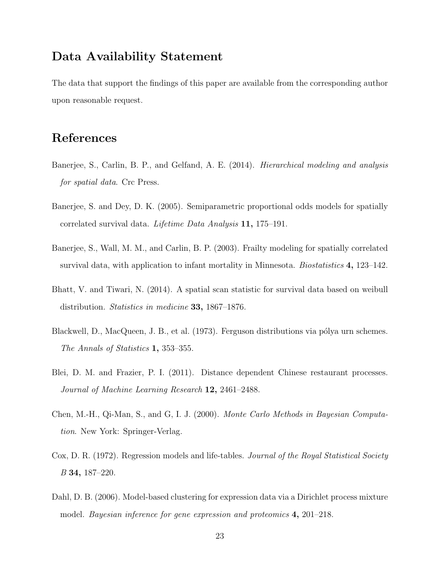## Data Availability Statement

The data that support the findings of this paper are available from the corresponding author upon reasonable request.

# References

- <span id="page-22-4"></span>Banerjee, S., Carlin, B. P., and Gelfand, A. E. (2014). Hierarchical modeling and analysis for spatial data. Crc Press.
- <span id="page-22-1"></span>Banerjee, S. and Dey, D. K. (2005). Semiparametric proportional odds models for spatially correlated survival data. Lifetime Data Analysis 11, 175–191.
- <span id="page-22-0"></span>Banerjee, S., Wall, M. M., and Carlin, B. P. (2003). Frailty modeling for spatially correlated survival data, with application to infant mortality in Minnesota. *Biostatistics* 4, 123–142.
- <span id="page-22-2"></span>Bhatt, V. and Tiwari, N. (2014). A spatial scan statistic for survival data based on weibull distribution. Statistics in medicine 33, 1867–1876.
- <span id="page-22-6"></span>Blackwell, D., MacQueen, J. B., et al. (1973). Ferguson distributions via pólya urn schemes. The Annals of Statistics 1, 353–355.
- <span id="page-22-3"></span>Blei, D. M. and Frazier, P. I. (2011). Distance dependent Chinese restaurant processes. Journal of Machine Learning Research 12, 2461–2488.
- <span id="page-22-8"></span>Chen, M.-H., Qi-Man, S., and G, I. J. (2000). Monte Carlo Methods in Bayesian Computation. New York: Springer-Verlag.
- <span id="page-22-5"></span>Cox, D. R. (1972). Regression models and life-tables. *Journal of the Royal Statistical Society* B 34, 187–220.
- <span id="page-22-7"></span>Dahl, D. B. (2006). Model-based clustering for expression data via a Dirichlet process mixture model. Bayesian inference for gene expression and proteomics 4, 201–218.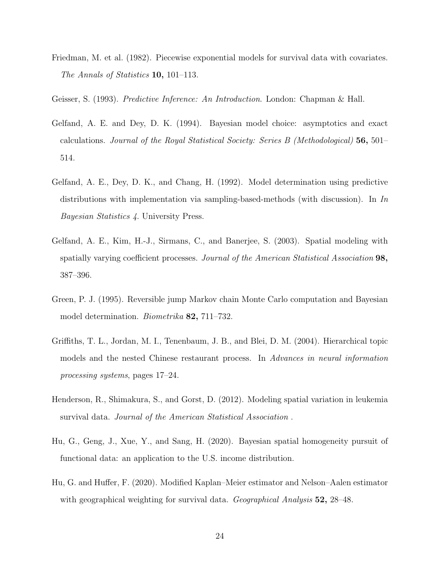<span id="page-23-3"></span>Friedman, M. et al. (1982). Piecewise exponential models for survival data with covariates. The Annals of Statistics **10**, 101–113.

<span id="page-23-7"></span>Geisser, S. (1993). Predictive Inference: An Introduction. London: Chapman & Hall.

- <span id="page-23-8"></span>Gelfand, A. E. and Dey, D. K. (1994). Bayesian model choice: asymptotics and exact calculations. Journal of the Royal Statistical Society: Series B (Methodological) 56, 501– 514.
- <span id="page-23-6"></span>Gelfand, A. E., Dey, D. K., and Chang, H. (1992). Model determination using predictive distributions with implementation via sampling-based-methods (with discussion). In In Bayesian Statistics 4. University Press.
- <span id="page-23-4"></span>Gelfand, A. E., Kim, H.-J., Sirmans, C., and Banerjee, S. (2003). Spatial modeling with spatially varying coefficient processes. Journal of the American Statistical Association 98, 387–396.
- <span id="page-23-2"></span>Green, P. J. (1995). Reversible jump Markov chain Monte Carlo computation and Bayesian model determination. *Biometrika* **82**, 711–732.
- <span id="page-23-9"></span>Griffiths, T. L., Jordan, M. I., Tenenbaum, J. B., and Blei, D. M. (2004). Hierarchical topic models and the nested Chinese restaurant process. In Advances in neural information processing systems, pages 17–24.
- <span id="page-23-0"></span>Henderson, R., Shimakura, S., and Gorst, D. (2012). Modeling spatial variation in leukemia survival data. Journal of the American Statistical Association .
- <span id="page-23-5"></span>Hu, G., Geng, J., Xue, Y., and Sang, H. (2020). Bayesian spatial homogeneity pursuit of functional data: an application to the U.S. income distribution.
- <span id="page-23-1"></span>Hu, G. and Huffer, F. (2020). Modified Kaplan–Meier estimator and Nelson–Aalen estimator with geographical weighting for survival data. *Geographical Analysis* 52, 28–48.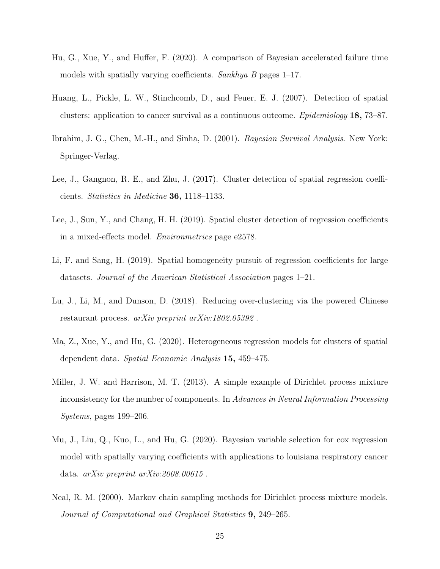- <span id="page-24-1"></span>Hu, G., Xue, Y., and Huffer, F. (2020). A comparison of Bayesian accelerated failure time models with spatially varying coefficients. Sankhya B pages 1–17.
- <span id="page-24-2"></span>Huang, L., Pickle, L. W., Stinchcomb, D., and Feuer, E. J. (2007). Detection of spatial clusters: application to cancer survival as a continuous outcome. *Epidemiology* 18, 73–87.
- <span id="page-24-10"></span>Ibrahim, J. G., Chen, M.-H., and Sinha, D. (2001). Bayesian Survival Analysis. New York: Springer-Verlag.
- <span id="page-24-3"></span>Lee, J., Gangnon, R. E., and Zhu, J. (2017). Cluster detection of spatial regression coefficients. Statistics in Medicine 36, 1118–1133.
- <span id="page-24-4"></span>Lee, J., Sun, Y., and Chang, H. H. (2019). Spatial cluster detection of regression coefficients in a mixed-effects model. Environmetrics page e2578.
- <span id="page-24-5"></span>Li, F. and Sang, H. (2019). Spatial homogeneity pursuit of regression coefficients for large datasets. Journal of the American Statistical Association pages 1–21.
- <span id="page-24-7"></span>Lu, J., Li, M., and Dunson, D. (2018). Reducing over-clustering via the powered Chinese restaurant process. arXiv preprint arXiv:1802.05392 .
- <span id="page-24-8"></span>Ma, Z., Xue, Y., and Hu, G. (2020). Heterogeneous regression models for clusters of spatial dependent data. Spatial Economic Analysis 15, 459–475.
- <span id="page-24-6"></span>Miller, J. W. and Harrison, M. T. (2013). A simple example of Dirichlet process mixture inconsistency for the number of components. In Advances in Neural Information Processing Systems, pages 199–206.
- <span id="page-24-0"></span>Mu, J., Liu, Q., Kuo, L., and Hu, G. (2020). Bayesian variable selection for cox regression model with spatially varying coefficients with applications to louisiana respiratory cancer data. arXiv preprint arXiv:2008.00615 .
- <span id="page-24-9"></span>Neal, R. M. (2000). Markov chain sampling methods for Dirichlet process mixture models. Journal of Computational and Graphical Statistics 9, 249–265.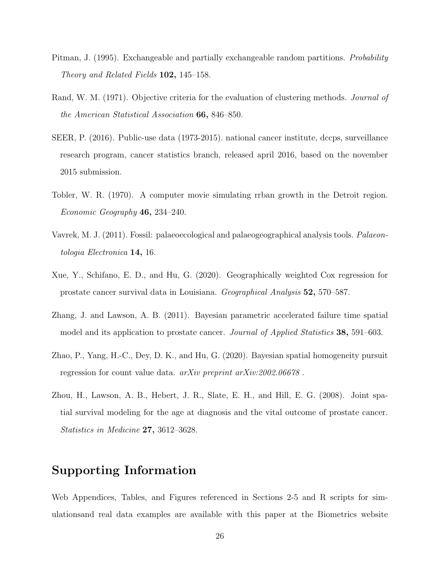- <span id="page-25-5"></span>Pitman, J. (1995). Exchangeable and partially exchangeable random partitions. *Probability* Theory and Related Fields 102, 145–158.
- <span id="page-25-7"></span>Rand, W. M. (1971). Objective criteria for the evaluation of clustering methods. *Journal of* the American Statistical Association 66, 846–850.
- <span id="page-25-0"></span>SEER, P. (2016). Public-use data (1973-2015). national cancer institute, dccps, surveillance research program, cancer statistics branch, released april 2016, based on the november 2015 submission.
- <span id="page-25-1"></span>Tobler, W. R. (1970). A computer movie simulating rrban growth in the Detroit region. Economic Geography 46, 234–240.
- <span id="page-25-8"></span>Vavrek, M. J. (2011). Fossil: palaeoecological and palaeogeographical analysis tools. Palaeontologia Electronica 14, 16.
- <span id="page-25-4"></span>Xue, Y., Schifano, E. D., and Hu, G. (2020). Geographically weighted Cox regression for prostate cancer survival data in Louisiana. Geographical Analysis 52, 570–587.
- <span id="page-25-3"></span>Zhang, J. and Lawson, A. B. (2011). Bayesian parametric accelerated failure time spatial model and its application to prostate cancer. *Journal of Applied Statistics* 38, 591–603.
- <span id="page-25-6"></span>Zhao, P., Yang, H.-C., Dey, D. K., and Hu, G. (2020). Bayesian spatial homogeneity pursuit regression for count value data. arXiv preprint arXiv:2002.06678 .
- <span id="page-25-2"></span>Zhou, H., Lawson, A. B., Hebert, J. R., Slate, E. H., and Hill, E. G. (2008). Joint spatial survival modeling for the age at diagnosis and the vital outcome of prostate cancer. Statistics in Medicine 27, 3612–3628.

# Supporting Information

Web Appendices, Tables, and Figures referenced in Sections 2-5 and R scripts for simulationsand real data examples are available with this paper at the Biometrics website